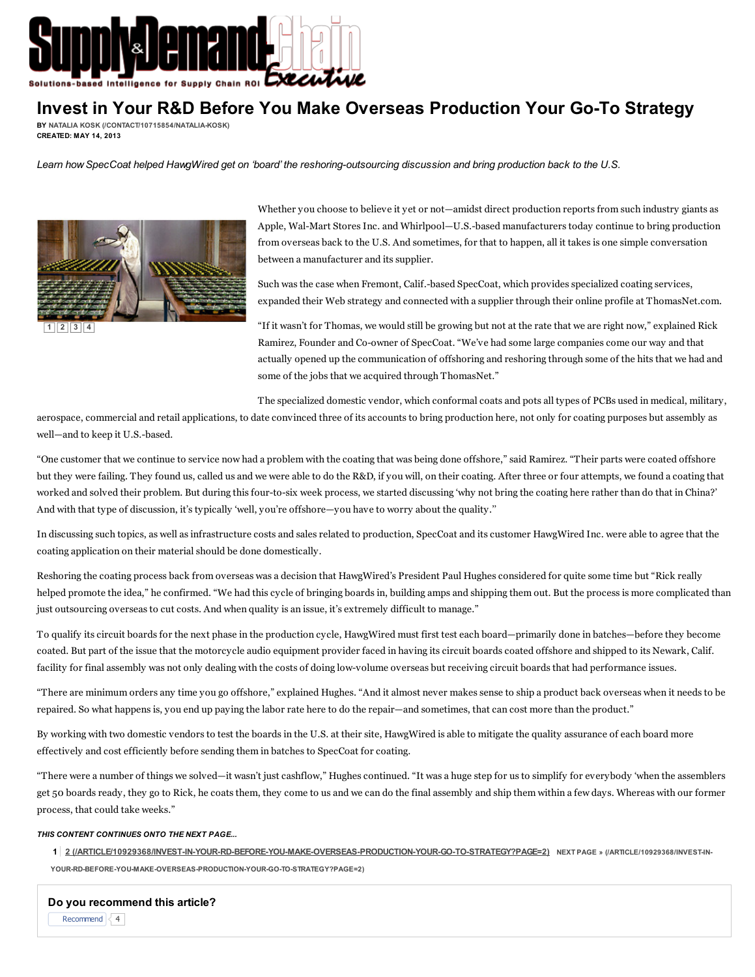

## Invest in Your R&D Before You Make Overseas Production Your Go-To Strategy

BY NATALIA KOSK [\(/CONTACT/10715854/NATALIA-KOSK\)](http://www.sdcexec.com/contact/10715854/natalia-kosk) CREATED: MAY 14, 2013

Learn how SpecCoat helped HawgWired get on 'board' the reshoring-outsourcing discussion and bring production back to the U.S.



Whether you choose to believe it yet or not—amidst direct production reports from such industry giants as Apple, Wal-Mart Stores Inc. and Whirlpool—U.S.-based manufacturers today continue to bring production from overseas back to the U.S. And sometimes, for that to happen, all it takes is one simple conversation between a manufacturer and its supplier.

Such was the case when Fremont, Calif.-based SpecCoat, which provides specialized coating services, expanded their Web strategy and connected with a supplier through their online profile at ThomasNet.com.

"If it wasn't for Thomas, we would still be growing but not at the rate that we are right now," explained Rick Ramirez, Founder and Co-owner of SpecCoat. "We've had some large companies come our way and that actually opened up the communication of offshoring and reshoring through some of the hits that we had and some of the jobs that we acquired through ThomasNet."

The specialized domestic vendor, which conformal coats and pots all types of PCBs used in medical, military,

aerospace, commercial and retail applications, to date convinced three of its accounts to bring production here, not only for coating purposes but assembly as well—and to keep it U.S.-based.

"One customer that we continue to service now had a problem with the coating that was being done offshore," said Ramirez. "Their parts were coated offshore but they were failing. They found us, called us and we were able to do the R&D, if you will, on their coating. After three or four attempts, we found a coating that worked and solved their problem. But during this four-to-six week process, we started discussing 'why not bring the coating here rather than do that in China?' And with that type of discussion, it's typically 'well, you're offshore—you have to worry about the quality.''

In discussing such topics, as well as infrastructure costs and sales related to production, SpecCoat and its customer HawgWired Inc. were able to agree that the coating application on their material should be done domestically.

Reshoring the coating process back from overseas was a decision that HawgWired's President Paul Hughes considered for quite some time but "Rick really helped promote the idea," he confirmed. "We had this cycle of bringing boards in, building amps and shipping them out. But the process is more complicated than just outsourcing overseas to cut costs. And when quality is an issue, it's extremely difficult to manage."

To qualify its circuit boards for the next phase in the production cycle, HawgWired must first test each board—primarily done in batches—before they become coated. But part of the issue that the motorcycle audio equipment provider faced in having its circuit boards coated offshore and shipped to its Newark, Calif. facility for final assembly was not only dealing with the costs of doing low-volume overseas but receiving circuit boards that had performance issues.

"There are minimum orders any time you go offshore," explained Hughes. "And it almost never makes sense to ship a product back overseas when it needs to be repaired. So what happens is, you end up paying the labor rate here to do the repair—and sometimes, that can cost more than the product."

By working with two domestic vendors to test the boards in the U.S. at their site, HawgWired is able to mitigate the quality assurance of each board more effectively and cost efficiently before sending them in batches to SpecCoat for coating.

"There were a number of things we solved—it wasn't just cashflow," Hughes continued. "It was a huge step for us to simplify for everybody 'when the assemblers get 50 boards ready, they go to Rick, he coats them, they come to us and we can do the final assembly and ship them within a few days. Whereas with our former process, that could take weeks."

## THIS CONTENT CONTINUES ONTO THE NEXT PAGE...

- 1 2 [\(/ARTICLE/10929368/INVEST-IN-YOUR-RD-BEFORE-YOU-MAKE-OVERSEAS-PRODUCTION-YOUR-GO-TO-STRATEGY?PAGE=2\)](http://www.sdcexec.com/article/10929368/invest-in-your-rd-before-you-make-overseas-production-your-go-to-strategy?page=2) NEXT PAGE » (/ARTICLE/10929368/INVEST-IN-
- YOUR-RD-BEFORE-YOU-MAKE-OVERSEAS-PRODUCTION-YOUR-GO-TO-STRATEGY?PAGE=2)

Recommend  $\sqrt{4}$